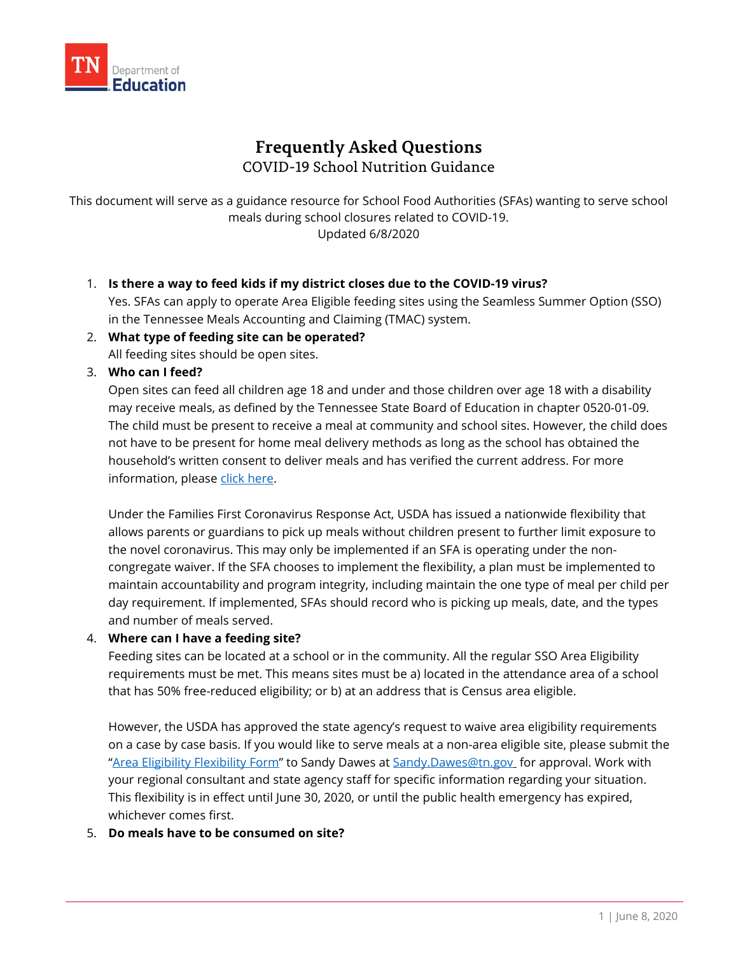

# **Frequently Asked Questions** COVID-19 School Nutrition Guidance

This document will serve as a guidance resource for School Food Authorities (SFAs) wanting to serve school meals during school closures related to COVID-19. Updated 6/8/2020

- 1. **Is there a way to feed kids if my district closes due to the COVID-19 virus?**  Yes. SFAs can apply to operate Area Eligible feeding sites using the Seamless Summer Option (SSO) in the Tennessee Meals Accounting and Claiming (TMAC) system.
- 2. **What type of feeding site can be operated?** All feeding sites should be open sites.
- 3. **Who can I feed?**

Open sites can feed all children age 18 and under and those children over age 18 with a disability may receive meals, as defined by the Tennessee State Board of Education in chapter 0520-01-09. The child must be present to receive a meal at community and school sites. However, the child does not have to be present for home meal delivery methods as long as the school has obtained the household's written consent to deliver meals and has verified the current address. For more information, please [click here.](https://www.fns.usda.gov/sfsp/covid-19-meal-delivery)

Under the Families First Coronavirus Response Act, USDA has issued a nationwide flexibility that allows parents or guardians to pick up meals without children present to further limit exposure to the novel coronavirus. This may only be implemented if an SFA is operating under the noncongregate waiver. If the SFA chooses to implement the flexibility, a plan must be implemented to maintain accountability and program integrity, including maintain the one type of meal per child per day requirement. If implemented, SFAs should record who is picking up meals, date, and the types and number of meals served.

#### 4. **Where can I have a feeding site?**

Feeding sites can be located at a school or in the community. All the regular SSO Area Eligibility requirements must be met. This means sites must be a) located in the attendance area of a school that has 50% free-reduced eligibility; or b) at an address that is Census area eligible.

However, the USDA has approved the state agency's request to waive area eligibility requirements on a case by case basis. If you would like to serve meals at a non-area eligible site, please submit the ["Area Eligibility Flexibility Form"](https://www.tn.gov/content/dam/tn/education/health-&-safety/Area%20Eligibility%20Flexibility%20Form_3.30.2020.pdf) to Sandy Dawes at [Sandy.Dawes@tn.gov](mailto:Sandy.Dawes@tn.gov) for approval. Work with your regional consultant and state agency staff for specific information regarding your situation. This flexibility is in effect until June 30, 2020, or until the public health emergency has expired, whichever comes first.

#### 5. **Do meals have to be consumed on site?**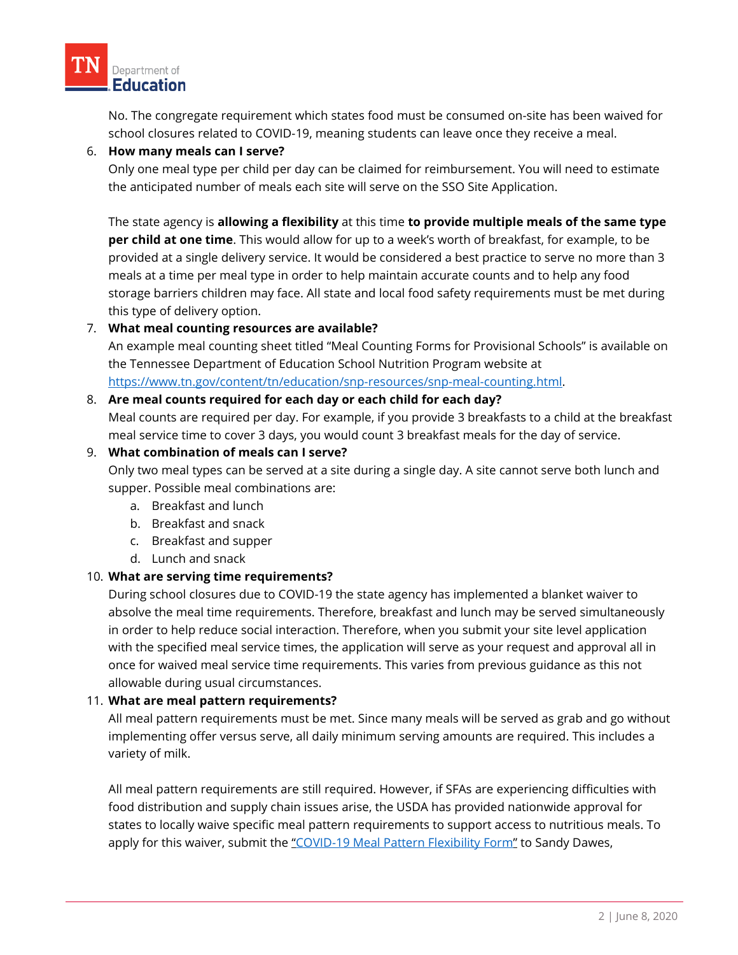

No. The congregate requirement which states food must be consumed on-site has been waived for school closures related to COVID-19, meaning students can leave once they receive a meal.

#### 6. **How many meals can I serve?**

Only one meal type per child per day can be claimed for reimbursement. You will need to estimate the anticipated number of meals each site will serve on the SSO Site Application.

The state agency is **allowing a flexibility** at this time **to provide multiple meals of the same type per child at one time**. This would allow for up to a week's worth of breakfast, for example, to be provided at a single delivery service. It would be considered a best practice to serve no more than 3 meals at a time per meal type in order to help maintain accurate counts and to help any food storage barriers children may face. All state and local food safety requirements must be met during this type of delivery option.

## 7. **What meal counting resources are available?**

An example meal counting sheet titled "Meal Counting Forms for Provisional Schools" is available on the Tennessee Department of Education School Nutrition Program website at [https://www.tn.gov/content/tn/education/snp-resources/snp-meal-counting.html.](https://www.tn.gov/content/tn/education/snp-resources/snp-meal-counting.html)

#### 8. **Are meal counts required for each day or each child for each day?**

Meal counts are required per day. For example, if you provide 3 breakfasts to a child at the breakfast meal service time to cover 3 days, you would count 3 breakfast meals for the day of service.

#### 9. **What combination of meals can I serve?**

Only two meal types can be served at a site during a single day. A site cannot serve both lunch and supper. Possible meal combinations are:

- a. Breakfast and lunch
- b. Breakfast and snack
- c. Breakfast and supper
- d. Lunch and snack

## 10. **What are serving time requirements?**

During school closures due to COVID-19 the state agency has implemented a blanket waiver to absolve the meal time requirements. Therefore, breakfast and lunch may be served simultaneously in order to help reduce social interaction. Therefore, when you submit your site level application with the specified meal service times, the application will serve as your request and approval all in once for waived meal service time requirements. This varies from previous guidance as this not allowable during usual circumstances.

## 11. **What are meal pattern requirements?**

All meal pattern requirements must be met. Since many meals will be served as grab and go without implementing offer versus serve, all daily minimum serving amounts are required. This includes a variety of milk.

All meal pattern requirements are still required. However, if SFAs are experiencing difficulties with food distribution and supply chain issues arise, the USDA has provided nationwide approval for states to locally waive specific meal pattern requirements to support access to nutritious meals. To apply for this waiver, submit the ["COVID-19 Meal Pattern Flexibility Form"](https://www.tn.gov/content/dam/tn/education/health-&-safety/Meal%20Pattern%20Flexibility%20Form%203.26.20.pdf) to Sandy Dawes,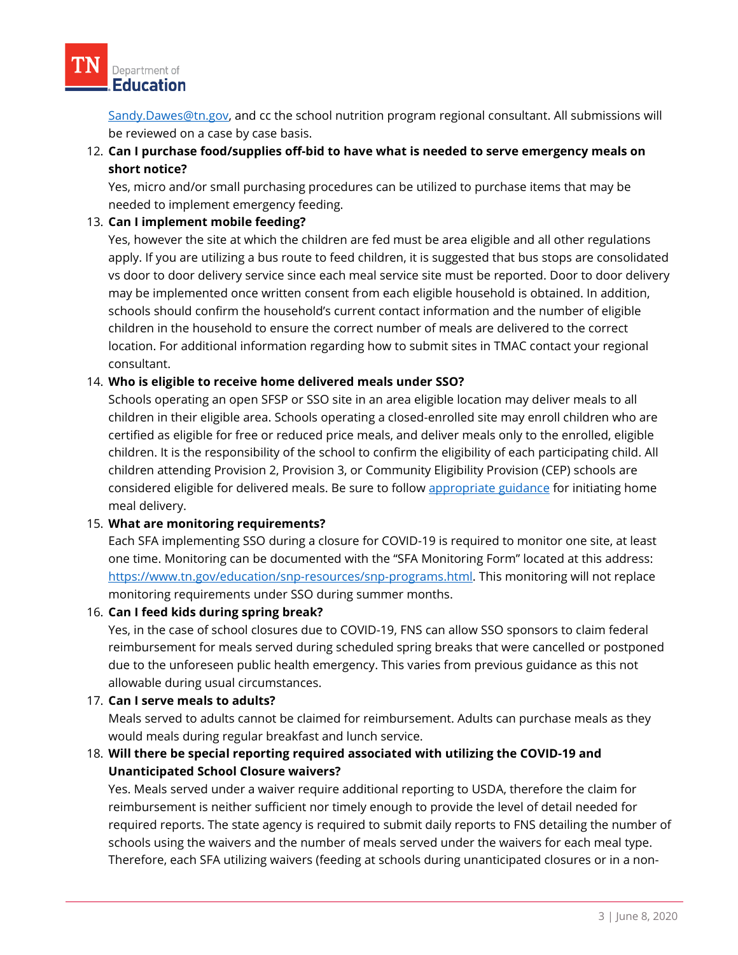[Sandy.Dawes@tn.gov,](mailto:Sandy.Dawes@tn.gov) and cc the school nutrition program regional consultant. All submissions will be reviewed on a case by case basis.

# 12. **Can I purchase food/supplies off-bid to have what is needed to serve emergency meals on short notice?**

Yes, micro and/or small purchasing procedures can be utilized to purchase items that may be needed to implement emergency feeding.

## 13. **Can I implement mobile feeding?**

Yes, however the site at which the children are fed must be area eligible and all other regulations apply. If you are utilizing a bus route to feed children, it is suggested that bus stops are consolidated vs door to door delivery service since each meal service site must be reported. Door to door delivery may be implemented once written consent from each eligible household is obtained. In addition, schools should confirm the household's current contact information and the number of eligible children in the household to ensure the correct number of meals are delivered to the correct location. For additional information regarding how to submit sites in TMAC contact your regional consultant.

## 14. **Who is eligible to receive home delivered meals under SSO?**

Schools operating an open SFSP or SSO site in an area eligible location may deliver meals to all children in their eligible area. Schools operating a closed-enrolled site may enroll children who are certified as eligible for free or reduced price meals, and deliver meals only to the enrolled, eligible children. It is the responsibility of the school to confirm the eligibility of each participating child. All children attending Provision 2, Provision 3, or Community Eligibility Provision (CEP) schools are considered eligible for delivered meals. Be sure to follow [appropriate guidance](https://www.fns.usda.gov/sfsp/covid-19-meal-delivery) for initiating home meal delivery.

## 15. **What are monitoring requirements?**

Each SFA implementing SSO during a closure for COVID-19 is required to monitor one site, at least one time. Monitoring can be documented with the "SFA Monitoring Form" located at this address: [https://www.tn.gov/education/snp-resources/snp-programs.html.](https://www.tn.gov/education/snp-resources/snp-programs.html) This monitoring will not replace monitoring requirements under SSO during summer months.

## 16. **Can I feed kids during spring break?**

Yes, in the case of school closures due to COVID-19, FNS can allow SSO sponsors to claim federal reimbursement for meals served during scheduled spring breaks that were cancelled or postponed due to the unforeseen public health emergency. This varies from previous guidance as this not allowable during usual circumstances.

## 17. **Can I serve meals to adults?**

Meals served to adults cannot be claimed for reimbursement. Adults can purchase meals as they would meals during regular breakfast and lunch service.

# 18. **Will there be special reporting required associated with utilizing the COVID-19 and Unanticipated School Closure waivers?**

Yes. Meals served under a waiver require additional reporting to USDA, therefore the claim for reimbursement is neither sufficient nor timely enough to provide the level of detail needed for required reports. The state agency is required to submit daily reports to FNS detailing the number of schools using the waivers and the number of meals served under the waivers for each meal type. Therefore, each SFA utilizing waivers (feeding at schools during unanticipated closures or in a non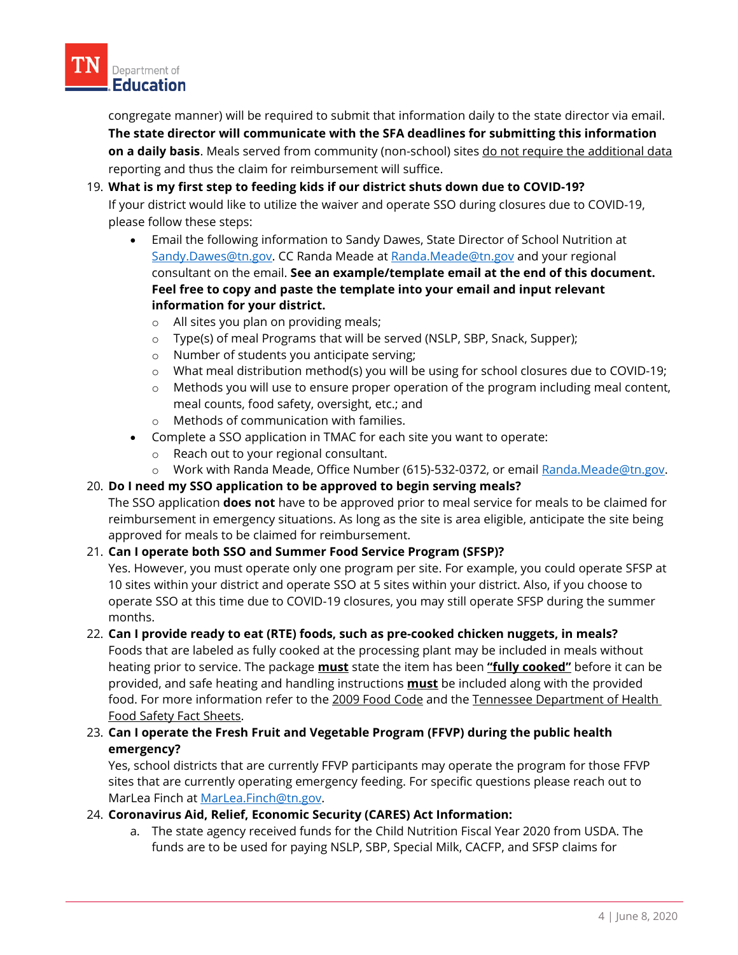congregate manner) will be required to submit that information daily to the state director via email. **The state director will communicate with the SFA deadlines for submitting this information on a daily basis**. Meals served from community (non-school) sites do not require the additional data reporting and thus the claim for reimbursement will suffice.

# 19. **What is my first step to feeding kids if our district shuts down due to COVID-19?** If your district would like to utilize the waiver and operate SSO during closures due to COVID-19, please follow these steps:

- Email the following information to Sandy Dawes, State Director of School Nutrition at [Sandy.Dawes@tn.gov.](mailto:Sandy.Dawes@tn.gov) CC Randa Meade a[t Randa.Meade@tn.gov](mailto:Randa.Meade@tn.gov) and your regional consultant on the email. **See an example/template email at the end of this document. Feel free to copy and paste the template into your email and input relevant information for your district.**
	- o All sites you plan on providing meals;
	- o Type(s) of meal Programs that will be served (NSLP, SBP, Snack, Supper);
	- o Number of students you anticipate serving;
	- o What meal distribution method(s) you will be using for school closures due to COVID-19;
	- $\circ$  Methods you will use to ensure proper operation of the program including meal content, meal counts, food safety, oversight, etc.; and
	- o Methods of communication with families.
- Complete a SSO application in TMAC for each site you want to operate:
	- o Reach out to your regional consultant.
	- o Work with Randa Meade, Office Number (615)-532-0372, or email [Randa.Meade@tn.gov.](mailto:Randa.Meade@tn.gov)

## 20. **Do I need my SSO application to be approved to begin serving meals?**

The SSO application **does not** have to be approved prior to meal service for meals to be claimed for reimbursement in emergency situations. As long as the site is area eligible, anticipate the site being approved for meals to be claimed for reimbursement.

## 21. **Can I operate both SSO and Summer Food Service Program (SFSP)?**

Yes. However, you must operate only one program per site. For example, you could operate SFSP at 10 sites within your district and operate SSO at 5 sites within your district. Also, if you choose to operate SSO at this time due to COVID-19 closures, you may still operate SFSP during the summer months.

## 22. **Can I provide ready to eat (RTE) foods, such as pre-cooked chicken nuggets, in meals?**

Foods that are labeled as fully cooked at the processing plant may be included in meals without heating prior to service. The package **must** state the item has been **"fully cooked"** before it can be provided, and safe heating and handling instructions **must** be included along with the provided food. For more information refer to th[e 2009 Food Code](https://www.fda.gov/food/fda-food-code/food-code-2009) and the Tennessee Department of Health [Food Safety Fact Sheets.](https://www.tn.gov/content/tn/health/health-program-areas/eh/eh-foodlaw.html)

23. **Can I operate the Fresh Fruit and Vegetable Program (FFVP) during the public health emergency?** 

Yes, school districts that are currently FFVP participants may operate the program for those FFVP sites that are currently operating emergency feeding. For specific questions please reach out to MarLea Finch at [MarLea.Finch@tn.gov.](mailto:MarLea.Finch@tn.gov)

## 24. **Coronavirus Aid, Relief, Economic Security (CARES) Act Information:**

a. The state agency received funds for the Child Nutrition Fiscal Year 2020 from USDA. The funds are to be used for paying NSLP, SBP, Special Milk, CACFP, and SFSP claims for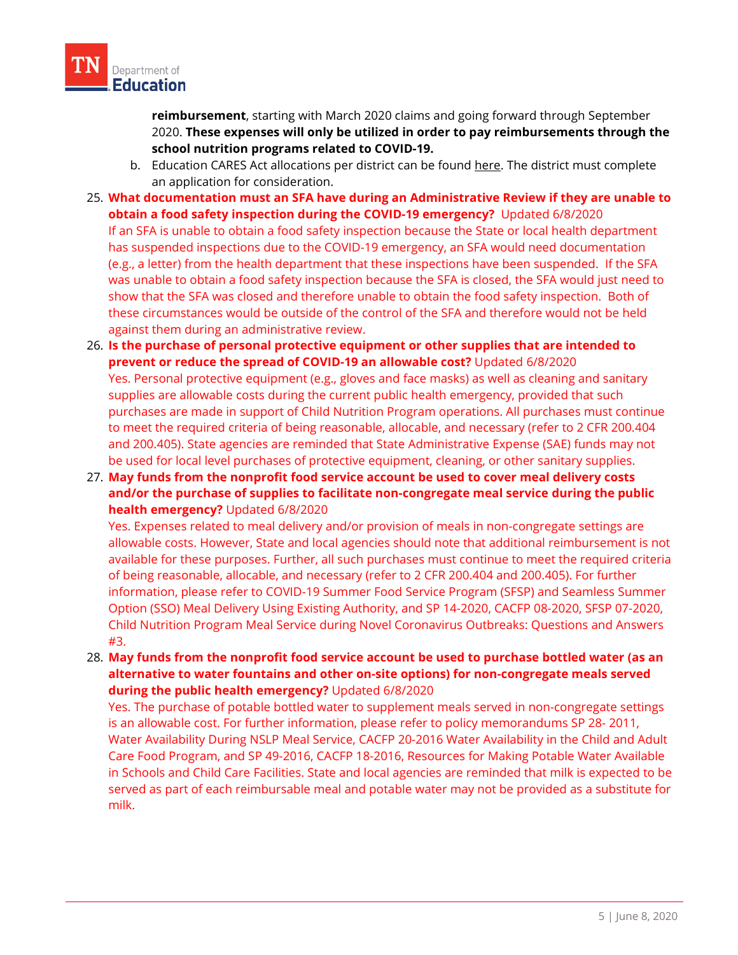

**reimbursement**, starting with March 2020 claims and going forward through September 2020. **These expenses will only be utilized in order to pay reimbursements through the school nutrition programs related to COVID-19.**

- b. Education CARES Act allocations per district can be found [here.](https://www.tn.gov/content/dam/tn/education/health-&-safety/CARES_ACT_District_allocations_w_CARES_Act.pdf) The district must complete an application for consideration.
- 25. **What documentation must an SFA have during an Administrative Review if they are unable to obtain a food safety inspection during the COVID-19 emergency?** Updated 6/8/2020 If an SFA is unable to obtain a food safety inspection because the State or local health department has suspended inspections due to the COVID-19 emergency, an SFA would need documentation (e.g., a letter) from the health department that these inspections have been suspended. If the SFA was unable to obtain a food safety inspection because the SFA is closed, the SFA would just need to show that the SFA was closed and therefore unable to obtain the food safety inspection. Both of these circumstances would be outside of the control of the SFA and therefore would not be held against them during an administrative review.
- 26. **Is the purchase of personal protective equipment or other supplies that are intended to prevent or reduce the spread of COVID-19 an allowable cost?** Updated 6/8/2020 Yes. Personal protective equipment (e.g., gloves and face masks) as well as cleaning and sanitary supplies are allowable costs during the current public health emergency, provided that such purchases are made in support of Child Nutrition Program operations. All purchases must continue to meet the required criteria of being reasonable, allocable, and necessary (refer to 2 CFR 200.404 and 200.405). State agencies are reminded that State Administrative Expense (SAE) funds may not be used for local level purchases of protective equipment, cleaning, or other sanitary supplies.
- 27. **May funds from the nonprofit food service account be used to cover meal delivery costs and/or the purchase of supplies to facilitate non-congregate meal service during the public health emergency?** Updated 6/8/2020

Yes. Expenses related to meal delivery and/or provision of meals in non-congregate settings are allowable costs. However, State and local agencies should note that additional reimbursement is not available for these purposes. Further, all such purchases must continue to meet the required criteria of being reasonable, allocable, and necessary (refer to 2 CFR 200.404 and 200.405). For further information, please refer to COVID-19 Summer Food Service Program (SFSP) and Seamless Summer Option (SSO) Meal Delivery Using Existing Authority, and SP 14-2020, CACFP 08-2020, SFSP 07-2020, Child Nutrition Program Meal Service during Novel Coronavirus Outbreaks: Questions and Answers #3.

28. **May funds from the nonprofit food service account be used to purchase bottled water (as an alternative to water fountains and other on-site options) for non-congregate meals served during the public health emergency?** Updated 6/8/2020

Yes. The purchase of potable bottled water to supplement meals served in non-congregate settings is an allowable cost. For further information, please refer to policy memorandums SP 28- 2011, Water Availability During NSLP Meal Service, CACFP 20-2016 Water Availability in the Child and Adult Care Food Program, and SP 49-2016, CACFP 18-2016, Resources for Making Potable Water Available in Schools and Child Care Facilities. State and local agencies are reminded that milk is expected to be served as part of each reimbursable meal and potable water may not be provided as a substitute for milk.